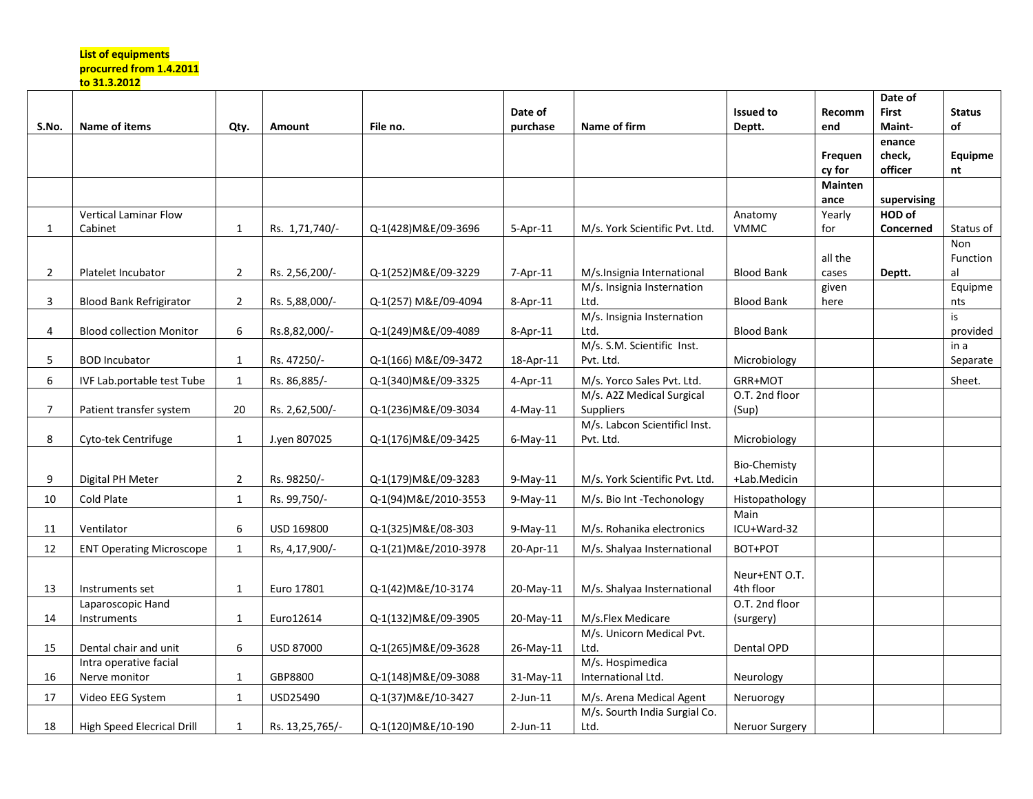## **List of equipments procurred from 1.4.2011**

**to 31.3.2012** 

|                |                                 |                |                 |                       |                |                                |                     |                | Date of      |               |
|----------------|---------------------------------|----------------|-----------------|-----------------------|----------------|--------------------------------|---------------------|----------------|--------------|---------------|
|                |                                 |                |                 |                       | Date of        |                                | <b>Issued to</b>    | Recomm         | <b>First</b> | <b>Status</b> |
| S.No.          | Name of items                   | Qty.           | Amount          | File no.              | purchase       | Name of firm                   | Deptt.              | end            | Maint-       | of            |
|                |                                 |                |                 |                       |                |                                |                     |                | enance       |               |
|                |                                 |                |                 |                       |                |                                |                     | Frequen        | check,       | Equipme       |
|                |                                 |                |                 |                       |                |                                |                     | cy for         | officer      | nt            |
|                |                                 |                |                 |                       |                |                                |                     | <b>Mainten</b> |              |               |
|                |                                 |                |                 |                       |                |                                |                     | ance           | supervising  |               |
|                | <b>Vertical Laminar Flow</b>    |                |                 |                       |                |                                | Anatomy             | Yearly         | HOD of       |               |
| $\mathbf{1}$   | Cabinet                         | 1              | Rs. 1,71,740/-  | Q-1(428) M&E/09-3696  | $5 - Apr - 11$ | M/s. York Scientific Pvt. Ltd. | <b>VMMC</b>         | for            | Concerned    | Status of     |
|                |                                 |                |                 |                       |                |                                |                     |                |              | Non           |
|                |                                 |                |                 |                       |                |                                |                     | all the        |              | Function      |
| $\overline{2}$ | Platelet Incubator              | $\overline{2}$ | Rs. 2,56,200/-  | Q-1(252)M&E/09-3229   | $7 - Apr - 11$ | M/s. Insignia International    | <b>Blood Bank</b>   | cases          | Deptt.       | al            |
|                |                                 |                |                 |                       |                | M/s. Insignia Insternation     |                     | given          |              | Equipme       |
| 3              | <b>Blood Bank Refrigirator</b>  | $\overline{2}$ | Rs. 5,88,000/-  | Q-1(257) M&E/09-4094  | 8-Apr-11       | Ltd.                           | <b>Blood Bank</b>   | here           |              | nts           |
|                |                                 |                |                 |                       |                | M/s. Insignia Insternation     |                     |                |              | is            |
| 4              | <b>Blood collection Monitor</b> | $\,6\,$        | Rs.8,82,000/-   | Q-1(249) M&E/09-4089  | 8-Apr-11       | Ltd.                           | <b>Blood Bank</b>   |                |              | provided      |
|                |                                 |                |                 |                       |                | M/s. S.M. Scientific Inst.     |                     |                |              | in a          |
| 5.             | <b>BOD Incubator</b>            | 1              | Rs. 47250/-     | Q-1(166) M&E/09-3472  | 18-Apr-11      | Pvt. Ltd.                      | Microbiology        |                |              | Separate      |
| 6              | IVF Lab.portable test Tube      | $\mathbf{1}$   | Rs. 86,885/-    | Q-1(340) M&E/09-3325  | 4-Apr-11       | M/s. Yorco Sales Pvt. Ltd.     | GRR+MOT             |                |              | Sheet.        |
|                |                                 |                |                 |                       |                | M/s. A2Z Medical Surgical      | O.T. 2nd floor      |                |              |               |
| $\overline{7}$ | Patient transfer system         | 20             | Rs. 2,62,500/-  | Q-1(236) M&E/09-3034  | $4$ -May-11    | <b>Suppliers</b>               | (Sup)               |                |              |               |
|                |                                 |                |                 |                       |                | M/s. Labcon Scientificl Inst.  |                     |                |              |               |
| 8              | Cyto-tek Centrifuge             | $\mathbf{1}$   | J.yen 807025    | Q-1(176) M&E/09-3425  | $6$ -May-11    | Pvt. Ltd.                      | Microbiology        |                |              |               |
|                |                                 |                |                 |                       |                |                                |                     |                |              |               |
|                |                                 |                |                 |                       |                |                                | <b>Bio-Chemisty</b> |                |              |               |
| 9              | Digital PH Meter                | $\overline{2}$ | Rs. 98250/-     | Q-1(179) M&E/09-3283  | $9$ -May-11    | M/s. York Scientific Pvt. Ltd. | +Lab.Medicin        |                |              |               |
| 10             | Cold Plate                      | $\mathbf{1}$   | Rs. 99,750/-    | Q-1(94) M&E/2010-3553 | $9-May-11$     | M/s. Bio Int -Techonology      | Histopathology      |                |              |               |
|                |                                 |                |                 |                       |                |                                | Main                |                |              |               |
| 11             | Ventilator                      | 6              | USD 169800      | Q-1(325) M&E/08-303   | $9-May-11$     | M/s. Rohanika electronics      | ICU+Ward-32         |                |              |               |
| 12             | <b>ENT Operating Microscope</b> | $\mathbf{1}$   | Rs, 4,17,900/-  | Q-1(21) M&E/2010-3978 | 20-Apr-11      | M/s. Shalyaa Insternational    | BOT+POT             |                |              |               |
|                |                                 |                |                 |                       |                |                                |                     |                |              |               |
|                |                                 |                |                 |                       |                |                                | Neur+ENT O.T.       |                |              |               |
| 13             | Instruments set                 | $\mathbf{1}$   | Euro 17801      | Q-1(42) M&E/10-3174   | 20-May-11      | M/s. Shalyaa Insternational    | 4th floor           |                |              |               |
|                | Laparoscopic Hand               |                |                 |                       |                |                                | O.T. 2nd floor      |                |              |               |
| 14             | Instruments                     | 1              | Euro12614       | Q-1(132) M&E/09-3905  | 20-May-11      | M/s.Flex Medicare              | (surgery)           |                |              |               |
|                |                                 |                |                 |                       |                | M/s. Unicorn Medical Pvt.      |                     |                |              |               |
| 15             | Dental chair and unit           | 6              | USD 87000       | Q-1(265) M&E/09-3628  | 26-May-11      | Ltd.                           | Dental OPD          |                |              |               |
|                | Intra operative facial          |                |                 |                       |                | M/s. Hospimedica               |                     |                |              |               |
| 16             | Nerve monitor                   | 1              | GBP8800         | Q-1(148) M&E/09-3088  | $31-May-11$    | International Ltd.             | Neurology           |                |              |               |
| 17             | Video EEG System                | $\mathbf{1}$   | USD25490        | Q-1(37) M&E/10-3427   | $2$ -Jun-11    | M/s. Arena Medical Agent       | Neruorogy           |                |              |               |
|                |                                 |                |                 |                       |                | M/s. Sourth India Surgial Co.  |                     |                |              |               |
| 18             | High Speed Elecrical Drill      | 1              | Rs. 13,25,765/- | Q-1(120) M&E/10-190   | $2$ -Jun-11    | Ltd.                           | Neruor Surgery      |                |              |               |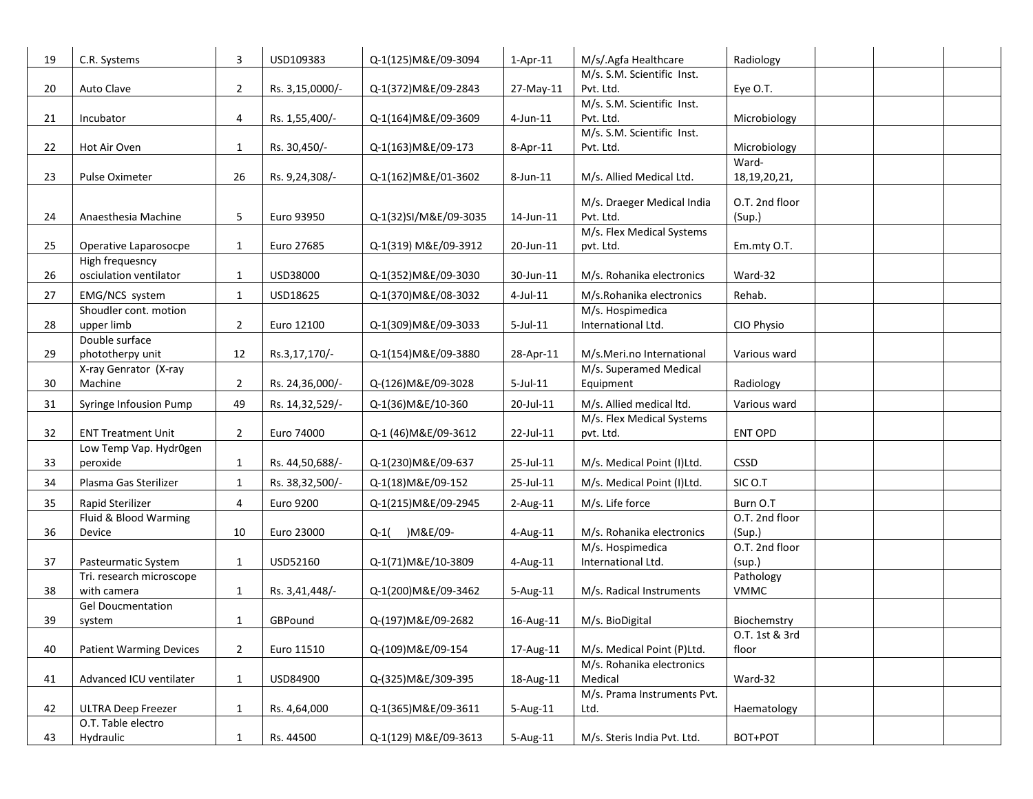| 19 | C.R. Systems                             | 3              | USD109383       | Q-1(125) M&E/09-3094  | $1-Apr-11$  | M/s/.Agfa Healthcare                    | Radiology       |  |
|----|------------------------------------------|----------------|-----------------|-----------------------|-------------|-----------------------------------------|-----------------|--|
|    |                                          |                |                 |                       |             | M/s. S.M. Scientific Inst.              |                 |  |
| 20 | Auto Clave                               | $\overline{2}$ | Rs. 3,15,0000/- | Q-1(372) M&E/09-2843  | 27-May-11   | Pvt. Ltd.<br>M/s. S.M. Scientific Inst. | Eye O.T.        |  |
| 21 | Incubator                                | 4              | Rs. 1,55,400/-  | Q-1(164) M&E/09-3609  | $4$ -Jun-11 | Pvt. Ltd.                               | Microbiology    |  |
|    |                                          |                |                 |                       |             | M/s. S.M. Scientific Inst.              |                 |  |
| 22 | Hot Air Oven                             | $\mathbf{1}$   | Rs. 30,450/-    | Q-1(163) M&E/09-173   | 8-Apr-11    | Pvt. Ltd.                               | Microbiology    |  |
|    |                                          |                |                 |                       |             |                                         | Ward-           |  |
| 23 | Pulse Oximeter                           | 26             | Rs. 9,24,308/-  | Q-1(162) M&E/01-3602  | 8-Jun-11    | M/s. Allied Medical Ltd.                | 18, 19, 20, 21, |  |
|    |                                          |                |                 |                       |             | M/s. Draeger Medical India              | O.T. 2nd floor  |  |
| 24 | Anaesthesia Machine                      | 5              | Euro 93950      | Q-1(32)SI/M&E/09-3035 | 14-Jun-11   | Pvt. Ltd.                               | (Sup.)          |  |
|    |                                          |                |                 |                       |             | M/s. Flex Medical Systems               |                 |  |
| 25 | Operative Laparosocpe<br>High frequesncy | $\mathbf{1}$   | Euro 27685      | Q-1(319) M&E/09-3912  | 20-Jun-11   | pvt. Ltd.                               | Em.mty O.T.     |  |
| 26 | osciulation ventilator                   | $\mathbf{1}$   | USD38000        | Q-1(352) M&E/09-3030  | 30-Jun-11   | M/s. Rohanika electronics               | Ward-32         |  |
| 27 | EMG/NCS system                           | $\mathbf{1}$   | USD18625        | Q-1(370) M&E/08-3032  | $4$ -Jul-11 | M/s.Rohanika electronics                | Rehab.          |  |
|    | Shoudler cont. motion                    |                |                 |                       |             | M/s. Hospimedica                        |                 |  |
| 28 | upper limb                               | $\overline{2}$ | Euro 12100      | Q-1(309) M&E/09-3033  | $5$ -Jul-11 | International Ltd.                      | CIO Physio      |  |
|    | Double surface                           |                |                 |                       |             |                                         |                 |  |
| 29 | phototherpy unit                         | 12             | Rs.3,17,170/-   | Q-1(154) M&E/09-3880  | 28-Apr-11   | M/s.Meri.no International               | Various ward    |  |
| 30 | X-ray Genrator (X-ray<br>Machine         |                |                 |                       | $5$ -Jul-11 | M/s. Superamed Medical                  |                 |  |
|    |                                          | $\overline{2}$ | Rs. 24,36,000/- | Q-(126) M&E/09-3028   |             | Equipment                               | Radiology       |  |
| 31 | Syringe Infousion Pump                   | 49             | Rs. 14,32,529/- | Q-1(36)M&E/10-360     | 20-Jul-11   | M/s. Allied medical ltd.                | Various ward    |  |
| 32 | <b>ENT Treatment Unit</b>                | $\overline{2}$ | Euro 74000      | Q-1 (46) M&E/09-3612  | 22-Jul-11   | M/s. Flex Medical Systems<br>pvt. Ltd.  | ENT OPD         |  |
|    | Low Temp Vap. Hydr0gen                   |                |                 |                       |             |                                         |                 |  |
| 33 | peroxide                                 | $\mathbf{1}$   | Rs. 44,50,688/- | Q-1(230) M&E/09-637   | 25-Jul-11   | M/s. Medical Point (I)Ltd.              | CSSD            |  |
| 34 | Plasma Gas Sterilizer                    | $\mathbf{1}$   | Rs. 38,32,500/- | Q-1(18) M&E/09-152    | 25-Jul-11   | M/s. Medical Point (I)Ltd.              | SIC O.T         |  |
| 35 | Rapid Sterilizer                         | 4              | Euro 9200       | Q-1(215) M&E/09-2945  | 2-Aug-11    | M/s. Life force                         | Burn O.T        |  |
|    | Fluid & Blood Warming                    |                |                 |                       |             |                                         | O.T. 2nd floor  |  |
| 36 | Device                                   | 10             | Euro 23000      | )M&E/09-<br>$Q-1($    | 4-Aug-11    | M/s. Rohanika electronics               | (Sup.)          |  |
|    |                                          |                |                 |                       |             | M/s. Hospimedica                        | O.T. 2nd floor  |  |
| 37 | Pasteurmatic System                      | $\mathbf{1}$   | USD52160        | Q-1(71) M&E/10-3809   | 4-Aug-11    | International Ltd.                      | (sup.)          |  |
|    | Tri. research microscope                 |                |                 |                       |             |                                         | Pathology       |  |
| 38 | with camera<br><b>Gel Doucmentation</b>  | $\mathbf{1}$   | Rs. 3,41,448/-  | Q-1(200) M&E/09-3462  | 5-Aug-11    | M/s. Radical Instruments                | <b>VMMC</b>     |  |
| 39 | system                                   | $\mathbf{1}$   | GBPound         | Q-(197) M&E/09-2682   | 16-Aug-11   | M/s. BioDigital                         | Biochemstry     |  |
|    |                                          |                |                 |                       |             |                                         | O.T. 1st & 3rd  |  |
| 40 | <b>Patient Warming Devices</b>           | $\overline{2}$ | Euro 11510      | Q-(109) M&E/09-154    | 17-Aug-11   | M/s. Medical Point (P)Ltd.              | floor           |  |
|    |                                          |                |                 |                       |             | M/s. Rohanika electronics               |                 |  |
| 41 | Advanced ICU ventilater                  | $\mathbf{1}$   | USD84900        | Q-(325) M&E/309-395   | 18-Aug-11   | Medical                                 | Ward-32         |  |
|    |                                          |                |                 |                       |             | M/s. Prama Instruments Pvt.             |                 |  |
| 42 | <b>ULTRA Deep Freezer</b>                | $\mathbf{1}$   | Rs. 4,64,000    | Q-1(365) M&E/09-3611  | 5-Aug-11    | Ltd.                                    | Haematology     |  |
| 43 | O.T. Table electro<br>Hydraulic          | $\mathbf{1}$   | Rs. 44500       | Q-1(129) M&E/09-3613  | 5-Aug-11    | M/s. Steris India Pvt. Ltd.             | BOT+POT         |  |
|    |                                          |                |                 |                       |             |                                         |                 |  |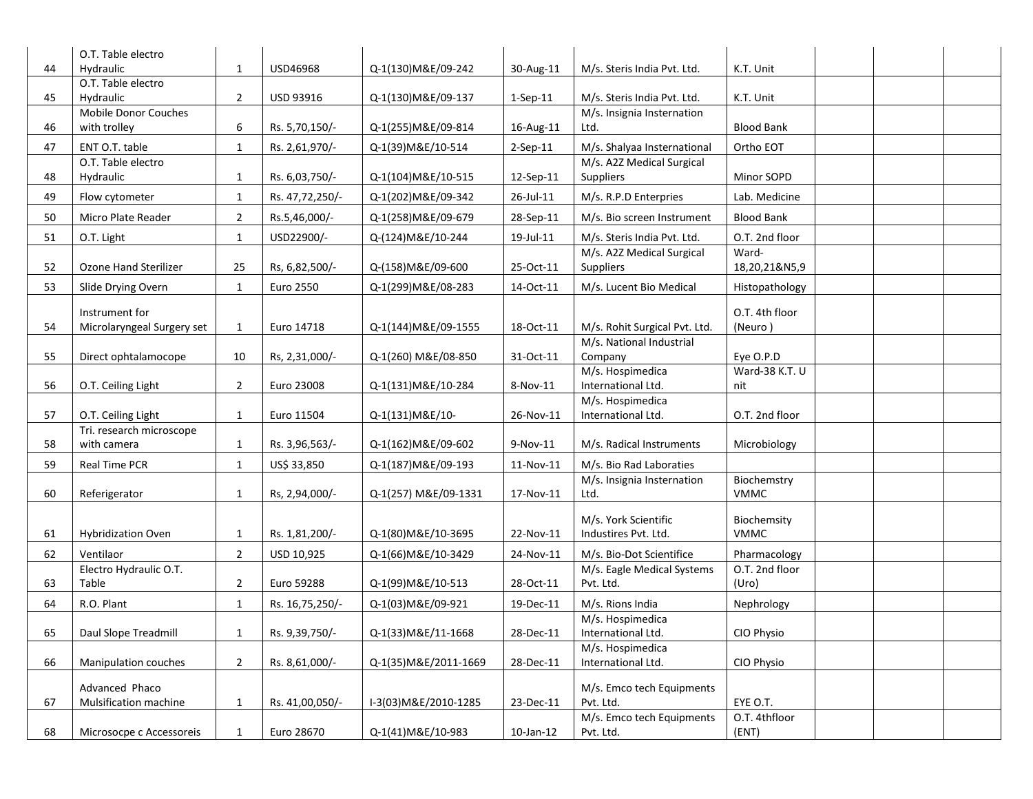|    | O.T. Table electro           |                |                 |                       |                 |                               |                   |  |
|----|------------------------------|----------------|-----------------|-----------------------|-----------------|-------------------------------|-------------------|--|
| 44 | Hydraulic                    | 1              | USD46968        | Q-1(130) M&E/09-242   | 30-Aug-11       | M/s. Steris India Pvt. Ltd.   | K.T. Unit         |  |
|    | O.T. Table electro           |                |                 |                       |                 |                               |                   |  |
| 45 | Hydraulic                    | $\overline{2}$ | USD 93916       | Q-1(130) M&E/09-137   | $1$ -Sep-11     | M/s. Steris India Pvt. Ltd.   | K.T. Unit         |  |
|    | Mobile Donor Couches         |                |                 |                       |                 | M/s. Insignia Insternation    |                   |  |
| 46 | with trolley                 | 6              | Rs. 5,70,150/-  | Q-1(255) M&E/09-814   | 16-Aug-11       | Ltd.                          | <b>Blood Bank</b> |  |
| 47 | ENT O.T. table               | $\mathbf{1}$   | Rs. 2,61,970/-  | Q-1(39) M&E/10-514    | $2-Sep-11$      | M/s. Shalyaa Insternational   | Ortho EOT         |  |
|    | O.T. Table electro           |                |                 |                       |                 | M/s. A2Z Medical Surgical     |                   |  |
| 48 | Hydraulic                    | $\mathbf{1}$   | Rs. 6,03,750/-  | Q-1(104) M&E/10-515   | 12-Sep-11       | Suppliers                     | Minor SOPD        |  |
| 49 | Flow cytometer               | $\mathbf{1}$   | Rs. 47,72,250/- | Q-1(202) M&E/09-342   | 26-Jul-11       | M/s. R.P.D Enterpries         | Lab. Medicine     |  |
| 50 | Micro Plate Reader           | $\overline{2}$ | Rs.5,46,000/-   | Q-1(258) M&E/09-679   | 28-Sep-11       | M/s. Bio screen Instrument    | <b>Blood Bank</b> |  |
| 51 | O.T. Light                   | $\mathbf{1}$   | USD22900/-      | Q-(124) M&E/10-244    | 19-Jul-11       | M/s. Steris India Pvt. Ltd.   | O.T. 2nd floor    |  |
|    |                              |                |                 |                       |                 | M/s. A2Z Medical Surgical     | Ward-             |  |
| 52 | <b>Ozone Hand Sterilizer</b> | 25             | Rs, 6,82,500/-  | Q-(158) M&E/09-600    | 25-Oct-11       | Suppliers                     | 18,20,21&N5,9     |  |
| 53 | Slide Drying Overn           | $\mathbf{1}$   | Euro 2550       | Q-1(299) M&E/08-283   | 14-Oct-11       | M/s. Lucent Bio Medical       | Histopathology    |  |
|    | Instrument for               |                |                 |                       |                 |                               | O.T. 4th floor    |  |
| 54 | Microlaryngeal Surgery set   | $\mathbf{1}$   | Euro 14718      | Q-1(144) M&E/09-1555  | 18-Oct-11       | M/s. Rohit Surgical Pvt. Ltd. | (Neuro)           |  |
|    |                              |                |                 |                       |                 | M/s. National Industrial      |                   |  |
| 55 | Direct ophtalamocope         | 10             | Rs, 2,31,000/-  | Q-1(260) M&E/08-850   | 31-Oct-11       | Company                       | Eye O.P.D         |  |
|    |                              |                |                 |                       |                 | M/s. Hospimedica              | Ward-38 K.T. U    |  |
| 56 | O.T. Ceiling Light           | $\overline{2}$ | Euro 23008      | Q-1(131) M&E/10-284   | 8-Nov-11        | International Ltd.            | nit               |  |
|    |                              |                |                 |                       |                 | M/s. Hospimedica              |                   |  |
| 57 | O.T. Ceiling Light           | $\mathbf{1}$   | Euro 11504      | Q-1(131) M&E/10-      | 26-Nov-11       | International Ltd.            | O.T. 2nd floor    |  |
|    | Tri. research microscope     |                |                 |                       |                 |                               |                   |  |
| 58 | with camera                  | $\mathbf{1}$   | Rs. 3,96,563/-  | Q-1(162) M&E/09-602   | 9-Nov-11        | M/s. Radical Instruments      | Microbiology      |  |
| 59 | <b>Real Time PCR</b>         | $\mathbf{1}$   | US\$ 33,850     | Q-1(187) M&E/09-193   | 11-Nov-11       | M/s. Bio Rad Laboraties       |                   |  |
|    |                              |                |                 |                       |                 | M/s. Insignia Insternation    | Biochemstry       |  |
| 60 | Referigerator                | $\mathbf{1}$   | Rs, 2,94,000/-  | Q-1(257) M&E/09-1331  | 17-Nov-11       | Ltd.                          | <b>VMMC</b>       |  |
|    |                              |                |                 |                       |                 | M/s. York Scientific          | Biochemsity       |  |
| 61 | <b>Hybridization Oven</b>    | $\mathbf{1}$   | Rs. 1,81,200/-  | Q-1(80) M&E/10-3695   | 22-Nov-11       | Industires Pvt. Ltd.          | <b>VMMC</b>       |  |
| 62 | Ventilaor                    | $\overline{2}$ | USD 10,925      | Q-1(66) M&E/10-3429   | 24-Nov-11       | M/s. Bio-Dot Scientifice      | Pharmacology      |  |
|    | Electro Hydraulic O.T.       |                |                 |                       |                 | M/s. Eagle Medical Systems    | O.T. 2nd floor    |  |
| 63 | Table                        | $\overline{2}$ | Euro 59288      | Q-1(99) M&E/10-513    | 28-Oct-11       | Pvt. Ltd.                     | (Uro)             |  |
| 64 | R.O. Plant                   | $\mathbf{1}$   | Rs. 16,75,250/- | Q-1(03)M&E/09-921     | $19$ -Dec- $11$ | M/s. Rions India              | Nephrology        |  |
|    |                              |                |                 |                       |                 | M/s. Hospimedica              |                   |  |
| 65 | Daul Slope Treadmill         | 1              | Rs. 9,39,750/-  | Q-1(33) M&E/11-1668   | 28-Dec-11       | International Ltd.            | CIO Physio        |  |
|    |                              |                |                 |                       |                 | M/s. Hospimedica              |                   |  |
| 66 | Manipulation couches         | $\overline{2}$ | Rs. 8,61,000/-  | Q-1(35) M&E/2011-1669 | 28-Dec-11       | International Ltd.            | CIO Physio        |  |
|    | Advanced Phaco               |                |                 |                       |                 | M/s. Emco tech Equipments     |                   |  |
| 67 | Mulsification machine        | $\mathbf{1}$   | Rs. 41,00,050/- | I-3(03) M&E/2010-1285 | 23-Dec-11       | Pvt. Ltd.                     | EYE O.T.          |  |
|    |                              |                |                 |                       |                 | M/s. Emco tech Equipments     | O.T. 4thfloor     |  |
| 68 | Microsocpe c Accessoreis     | 1              | Euro 28670      | Q-1(41) M&E/10-983    | 10-Jan-12       | Pvt. Ltd.                     | (ENT)             |  |
|    |                              |                |                 |                       |                 |                               |                   |  |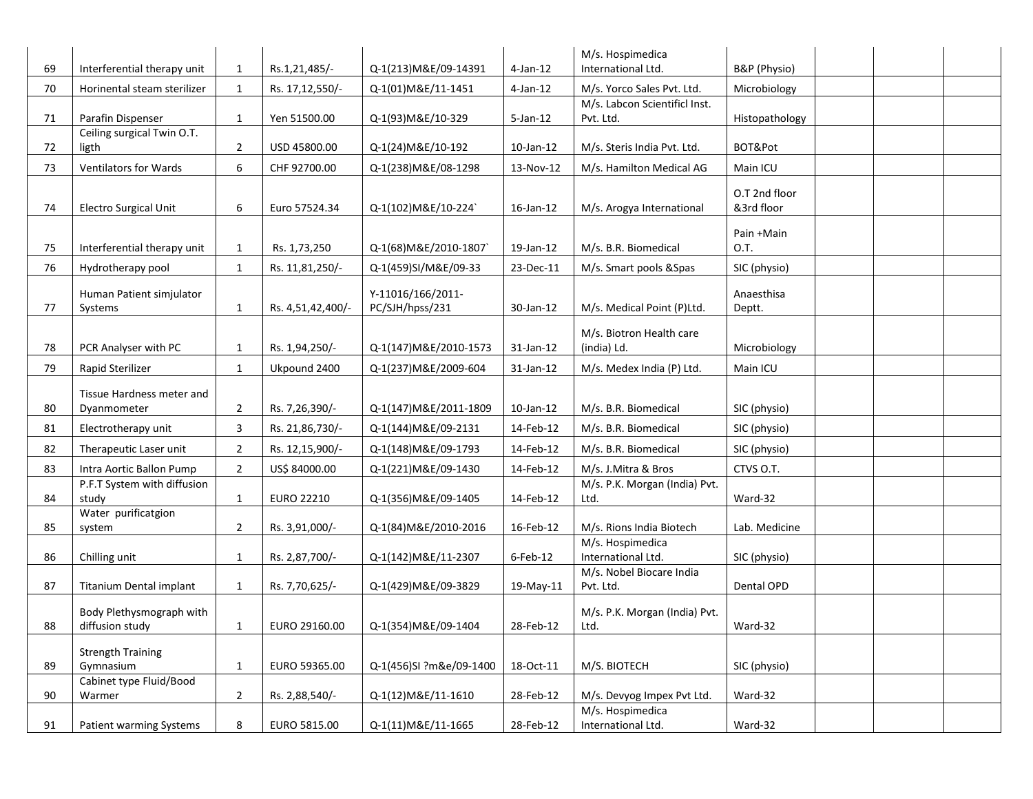|    |                                                 |                |                   |                         |                 | M/s. Hospimedica                               |                    |  |
|----|-------------------------------------------------|----------------|-------------------|-------------------------|-----------------|------------------------------------------------|--------------------|--|
| 69 | Interferential therapy unit                     | $\mathbf{1}$   | Rs.1,21,485/-     | Q-1(213) M&E/09-14391   | $4$ -Jan-12     | International Ltd.                             | B&P (Physio)       |  |
| 70 | Horinental steam sterilizer                     | $\mathbf{1}$   | Rs. 17,12,550/-   | Q-1(01)M&E/11-1451      | $4$ -Jan-12     | M/s. Yorco Sales Pvt. Ltd.                     | Microbiology       |  |
|    |                                                 |                |                   |                         | $5$ -Jan-12     | M/s. Labcon Scientificl Inst.                  |                    |  |
| 71 | Parafin Dispenser<br>Ceiling surgical Twin O.T. | $\mathbf{1}$   | Yen 51500.00      | Q-1(93) M&E/10-329      |                 | Pvt. Ltd.                                      | Histopathology     |  |
| 72 | ligth                                           | $\overline{2}$ | USD 45800.00      | Q-1(24) M&E/10-192      | $10$ -Jan- $12$ | M/s. Steris India Pvt. Ltd.                    | BOT&Pot            |  |
| 73 | Ventilators for Wards                           | 6              | CHF 92700.00      | Q-1(238) M&E/08-1298    | 13-Nov-12       | M/s. Hamilton Medical AG                       | Main ICU           |  |
|    |                                                 |                |                   |                         |                 |                                                | O.T 2nd floor      |  |
| 74 | <b>Electro Surgical Unit</b>                    | 6              | Euro 57524.34     | Q-1(102) M&E/10-224     | 16-Jan-12       | M/s. Arogya International                      | &3rd floor         |  |
|    |                                                 |                |                   |                         |                 |                                                |                    |  |
| 75 | Interferential therapy unit                     | $\mathbf{1}$   | Rs. 1,73,250      | Q-1(68) M&E/2010-1807`  | 19-Jan-12       | M/s. B.R. Biomedical                           | Pain +Main<br>O.T. |  |
|    |                                                 |                |                   |                         |                 |                                                |                    |  |
| 76 | Hydrotherapy pool                               | $\mathbf{1}$   | Rs. 11,81,250/-   | Q-1(459)SI/M&E/09-33    | 23-Dec-11       | M/s. Smart pools & Spas                        | SIC (physio)       |  |
|    | Human Patient simjulator                        |                |                   | Y-11016/166/2011-       |                 |                                                | Anaesthisa         |  |
| 77 | Systems                                         | $\mathbf{1}$   | Rs. 4,51,42,400/- | PC/SJH/hpss/231         | 30-Jan-12       | M/s. Medical Point (P)Ltd.                     | Deptt.             |  |
|    |                                                 |                |                   |                         |                 | M/s. Biotron Health care                       |                    |  |
| 78 | PCR Analyser with PC                            | $\mathbf{1}$   | Rs. 1,94,250/-    | Q-1(147) M&E/2010-1573  | 31-Jan-12       | (india) Ld.                                    | Microbiology       |  |
| 79 | Rapid Sterilizer                                | $\mathbf{1}$   | Ukpound 2400      | Q-1(237) M&E/2009-604   | 31-Jan-12       | M/s. Medex India (P) Ltd.                      | Main ICU           |  |
|    | Tissue Hardness meter and                       |                |                   |                         |                 |                                                |                    |  |
| 80 | Dyanmometer                                     | $\overline{2}$ | Rs. 7,26,390/-    | Q-1(147) M&E/2011-1809  | $10$ -Jan- $12$ | M/s. B.R. Biomedical                           | SIC (physio)       |  |
| 81 | Electrotherapy unit                             | 3              | Rs. 21,86,730/-   | Q-1(144) M&E/09-2131    | 14-Feb-12       | M/s. B.R. Biomedical                           | SIC (physio)       |  |
| 82 | Therapeutic Laser unit                          | $\overline{2}$ | Rs. 12,15,900/-   | Q-1(148) M&E/09-1793    | 14-Feb-12       | M/s. B.R. Biomedical                           | SIC (physio)       |  |
| 83 | Intra Aortic Ballon Pump                        | $\overline{2}$ | US\$ 84000.00     | Q-1(221) M&E/09-1430    | 14-Feb-12       | M/s. J.Mitra & Bros                            | CTVS O.T.          |  |
|    | P.F.T System with diffusion                     |                |                   |                         |                 | M/s. P.K. Morgan (India) Pvt.                  |                    |  |
| 84 | study                                           | $\mathbf{1}$   | <b>EURO 22210</b> | Q-1(356) M&E/09-1405    | 14-Feb-12       | Ltd.                                           | Ward-32            |  |
| 85 | Water purificatgion<br>system                   | $\overline{2}$ | Rs. 3,91,000/-    | Q-1(84) M&E/2010-2016   | 16-Feb-12       | M/s. Rions India Biotech                       | Lab. Medicine      |  |
|    |                                                 |                |                   |                         |                 | M/s. Hospimedica                               |                    |  |
| 86 | Chilling unit                                   | $\mathbf{1}$   | Rs. 2,87,700/-    | Q-1(142) M&E/11-2307    | 6-Feb-12        | International Ltd.                             | SIC (physio)       |  |
|    |                                                 |                |                   |                         |                 | M/s. Nobel Biocare India                       |                    |  |
| 87 | Titanium Dental implant                         | $\mathbf{1}$   | Rs. 7,70,625/-    | Q-1(429) M&E/09-3829    | 19-May-11       | Pvt. Ltd.                                      | Dental OPD         |  |
|    | Body Plethysmograph with                        |                |                   |                         |                 | M/s. P.K. Morgan (India) Pvt.                  |                    |  |
| 88 | diffusion study                                 | $\mathbf{1}$   | EURO 29160.00     | Q-1(354) M&E/09-1404    | 28-Feb-12       | Ltd.                                           | Ward-32            |  |
|    | <b>Strength Training</b>                        |                |                   |                         |                 |                                                |                    |  |
| 89 | Gymnasium                                       | $\mathbf{1}$   | EURO 59365.00     | Q-1(456)SI ?m&e/09-1400 | 18-Oct-11       | M/S. BIOTECH                                   | SIC (physio)       |  |
|    | Cabinet type Fluid/Bood                         |                |                   |                         |                 |                                                |                    |  |
| 90 | Warmer                                          | $\overline{2}$ | Rs. 2,88,540/-    | Q-1(12) M&E/11-1610     | 28-Feb-12       | M/s. Devyog Impex Pvt Ltd.<br>M/s. Hospimedica | Ward-32            |  |
| 91 | Patient warming Systems                         | 8              | EURO 5815.00      | Q-1(11)M&E/11-1665      | 28-Feb-12       | International Ltd.                             | Ward-32            |  |